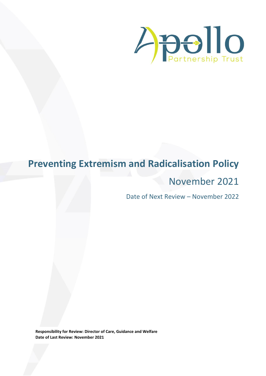

# **Preventing Extremism and Radicalisation Policy**

# November 2021

Date of Next Review – November 2022

**Responsibility for Review: Director of Care, Guidance and Welfare Date of Last Review: November 2021**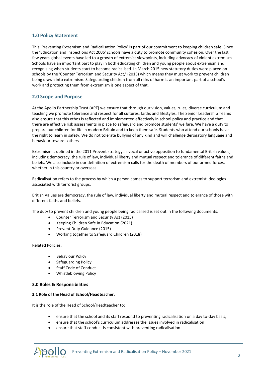## **1.0 Policy Statement**

This 'Preventing Extremism and Radicalisation Policy' is part of our commitment to keeping children safe. Since the 'Education and Inspections Act 2006' schools have a duty to promote community cohesion. Over the last few years global events have led to a growth of extremist viewpoints, including advocacy of violent extremism. Schools have an important part to play in both educating children and young people about extremism and recognising when students start to become radicalised. In March 2015 new statutory duties were placed on schools by the 'Counter Terrorism and Security Act,' (2015) which means they must work to prevent children being drawn into extremism. Safeguarding children from all risks of harm is an important part of a school's work and protecting them from extremism is one aspect of that.

## **2.0 Scope and Purpose**

At the Apollo Partnership Trust (APT) we ensure that through our vision, values, rules, diverse curriculum and teaching we promote tolerance and respect for all cultures, faiths and lifestyles. The Senior Leadership Teams also ensure that this ethos is reflected and implemented effectively in school policy and practice and that there are effective risk assessments in place to safeguard and promote students' welfare. We have a duty to prepare our children for life in modern Britain and to keep them safe. Students who attend our schools have the right to learn in safety. We do not tolerate bullying of any kind and will challenge derogatory language and behaviour towards others.

Extremism is defined in the 2011 Prevent strategy as vocal or active opposition to fundamental British values, including democracy, the rule of law, individual liberty and mutual respect and tolerance of different faiths and beliefs. We also include in our definition of extremism calls for the death of members of our armed forces, whether in this country or overseas.

Radicalisation refers to the process by which a person comes to support terrorism and extremist ideologies associated with terrorist groups.

British Values are democracy, the rule of law, individual liberty and mutual respect and tolerance of those with different faiths and beliefs.

The duty to prevent children and young people being radicalised is set out in the following documents:

- Counter Terrorism and Security Act (2015)
- Keeping Children Safe in Education (2021)
- Prevent Duty Guidance (2015)
- Working together to Safeguard Children (2018)

Related Policies:

- Behaviour Policy
- Safeguarding Policy
- Staff Code of Conduct
- Whistleblowing Policy

#### **3.0 Roles & Responsibilities**

#### **3.1 Role of the Head of School/Headteacher**:

It is the role of the Head of School/Headteacher to:

- ensure that the school and its staff respond to preventing radicalisation on a day to-day basis,
- ensure that the school's curriculum addresses the issues involved in radicalisation
- ensure that staff conduct is consistent with preventing radicalisation.

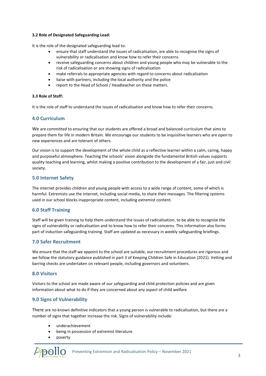#### **3.2 Role of Designated Safeguarding Lead:**

It is the role of the designated safeguarding lead to:

- ensure that staff understand the issues of radicalisation, are able to recognise the signs of vulnerability or radicalisation and know how to refer their concerns
- receive safeguarding concerns about children and young people who may be vulnerable to the risk of radicalisation or are showing signs of radicalisation
- make referrals to appropriate agencies with regard to concerns about radicalisation
- liaise with partners, including the local authority and the police
- report to the Head of School / Headteacher on these matters.

#### **3.3 Role of Staff:**

It is the role of staff to understand the issues of radicalisation and know how to refer their concerns.

## **4.0 Curriculum**

We are committed to ensuring that our students are offered a broad and balanced curriculum that aims to prepare them for life in modern Britain. We encourage our students to be inquisitive learners who are open to new experiences and are tolerant of others.

Our vision is to support the development of the whole child as a reflective learner within a calm, caring, happy and purposeful atmosphere. Teaching the schools' vision alongside the fundamental British values supports quality teaching and learning, whilst making a positive contribution to the development of a fair, just and civil society.

### **5.0 Internet Safety**

The internet provides children and young people with access to a wide range of content, some of which is harmful. Extremists use the internet, including social media, to share their messages. The filtering systems used in our school blocks inappropriate content, including extremist content.

## **6.0 Staff Training**

Staff will be given training to help them understand the issues of radicalisation, to be able to recognise the signs of vulnerability or radicalisation and to know how to refer their concerns. This information also forms part of induction safeguarding training. Staff are updated as necessary in weekly safeguarding briefings.

### **7.0 Safer Recruitment**

We ensure that the staff we appoint to the school are suitable, our recruitment procedures are rigorous and we follow the statutory guidance published in part 3 of Keeping Children Safe in Education (2021). Vetting and barring checks are undertaken on relevant people, including governors and volunteers.

### **8.0 Visitors**

Visitors to the school are made aware of our safeguarding and child protection policies and are given information about what to do if they are concerned about any aspect of child welfare

## **9.0 Signs of Vulnerability**

There are no known definitive indicators that a young person is vulnerable to radicalisation, but there are a number of signs that together increase the risk. Signs of vulnerability include:

- underachievement
- being in possession of extremist literature
- poverty